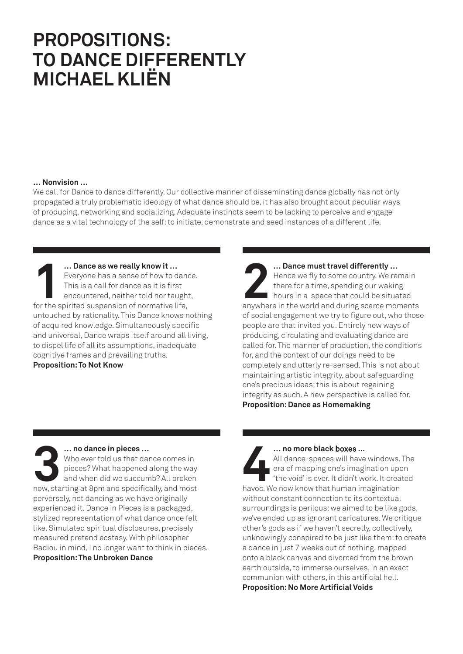## **PROPOSITIONS: TO DANCE DIFFERENTLY MICHAEL KLIËN**

## **… Nonvision …**

We call for Dance to dance differently. Our collective manner of disseminating dance globally has not only propagated a truly problematic ideology of what dance should be, it has also brought about peculiar ways of producing, networking and socializing. Adequate instincts seem to be lacking to perceive and engage dance as a vital technology of the self: to initiate, demonstrate and seed instances of a different life.

**11 • Dance as we really know it …**<br>
Fveryone has a sense of how to dang<br>
This is a call for dance as it is first<br>
encountered, neither told nor taugh<br>
for the spirited suspension of normative life, Everyone has a sense of how to dance. This is a call for dance as it is first encountered, neither told nor taught, untouched by rationality. This Dance knows nothing of acquired knowledge. Simultaneously specific and universal, Dance wraps itself around all living, to dispel life of all its assumptions, inadequate cognitive frames and prevailing truths. **Proposition: To Not Know**

**22 • Pance must travel differently ...**<br>
Hence we fly to some country. We remain<br>
there for a time, spending our waking<br>
hours in a space that could be situated<br>
anywhere in the world and during scarce moments Hence we fly to some country. We remain there for a time, spending our waking hours in a space that could be situated of social engagement we try to figure out, who those people are that invited you. Entirely new ways of producing, circulating and evaluating dance are called for. The manner of production, the conditions for, and the context of our doings need to be completely and utterly re-sensed. This is not about maintaining artistic integrity, about safeguarding one's precious ideas; this is about regaining integrity as such. A new perspective is called for. **Proposition: Dance as Homemaking**

**3 … no dance in pieces …**<br>Who ever told us that dance comes in<br>pieces? What happened along the way<br>and when did we succumb? All broken<br>now, starting at 8pm and specifically, and most Who ever told us that dance comes in pieces? What happened along the way and when did we succumb? All broken perversely, not dancing as we have originally experienced it. Dance in Pieces is a packaged, stylized representation of what dance once felt like. Simulated spiritual disclosures, precisely measured pretend ecstasy. With philosopher Badiou in mind, I no longer want to think in pieces. **Proposition: The Unbroken Dance**

**44 •• All dance-spaces will have windows.**<br>
era of mapping one's imagination upo<br>
"the void' is over. It didn't work. It crea<br>
havoc. We now know that human imagination All dance-spaces will have windows. The era of mapping one's imagination upon 'the void' is over. It didn't work. It created without constant connection to its contextual surroundings is perilous: we aimed to be like gods, we've ended up as ignorant caricatures. We critique other's gods as if we haven't secretly, collectively, unknowingly conspired to be just like them: to create a dance in just 7 weeks out of nothing, mapped onto a black canvas and divorced from the brown earth outside, to immerse ourselves, in an exact communion with others, in this artificial hell. **Proposition: No More Artificial Voids**